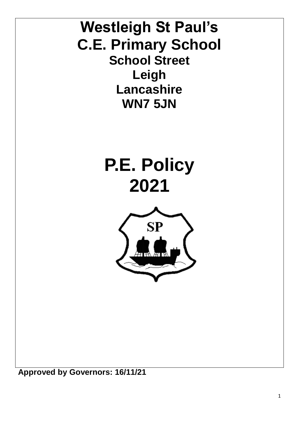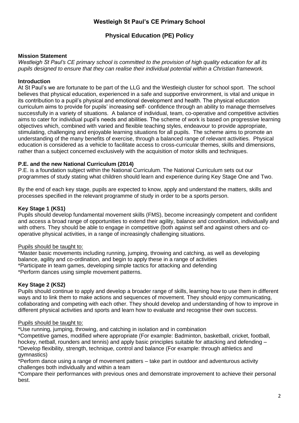# **Westleigh St Paul's CE Primary School**

# **Physical Education (PE) Policy**

### **Mission Statement**

*Westleigh St Paul's CE primary school is committed to the provision of high quality education for all its pupils designed to ensure that they can realise their individual potential within a Christian framework.*

#### **Introduction**

At St Paul's we are fortunate to be part of the LLG and the Westleigh cluster for school sport. The school believes that physical education, experienced in a safe and supportive environment, is vital and unique in its contribution to a pupil's physical and emotional development and health. The physical education curriculum aims to provide for pupils' increasing self- confidence through an ability to manage themselves successfully in a variety of situations. A balance of individual, team, co-operative and competitive activities aims to cater for individual pupil's needs and abilities. The scheme of work is based on progressive learning objectives which, combined with varied and flexible teaching styles, endeavour to provide appropriate, stimulating, challenging and enjoyable learning situations for all pupils. The scheme aims to promote an understanding of the many benefits of exercise, through a balanced range of relevant activities. Physical education is considered as a vehicle to facilitate access to cross-curricular themes, skills and dimensions, rather than a subject concerned exclusively with the acquisition of motor skills and techniques.

### **P.E. and the new National Curriculum (2014)**

P.E. is a foundation subject within the National Curriculum. The National Curriculum sets out our programmes of study stating what children should learn and experience during Key Stage One and Two.

By the end of each key stage, pupils are expected to know, apply and understand the matters, skills and processes specified in the relevant programme of study in order to be a sports person.

### **Key Stage 1 (KS1)**

Pupils should develop fundamental movement skills (FMS), become increasingly competent and confident and access a broad range of opportunities to extend their agility, balance and coordination, individually and with others. They should be able to engage in competitive (both against self and against others and cooperative physical activities, in a range of increasingly challenging situations.

#### Pupils should be taught to:

\*Master basic movements including running, jumping, throwing and catching, as well as developing balance, agility and co-ordination, and begin to apply these in a range of activities \*Participate in team games, developing simple tactics for attacking and defending \*Perform dances using simple movement patterns.

#### **Key Stage 2 (KS2)**

Pupils should continue to apply and develop a broader range of skills, learning how to use them in different ways and to link them to make actions and sequences of movement. They should enjoy communicating, collaborating and competing with each other. They should develop and understanding of how to improve in different physical activities and sports and learn how to evaluate and recognise their own success.

#### Pupils should be taught to:

\*Use running, jumping, throwing, and catching in isolation and in combination

\*Competitive games, modified where appropriate (For example: Badminton, basketball, cricket, football, hockey, netball, rounders and tennis) and apply basic principles suitable for attacking and defending -\*Develop flexibility, strength, technique, control and balance (For example: through athletics and gymnastics)

\*Perform dance using a range of movement patters – take part in outdoor and adventurous activity challenges both individually and within a team

\*Compare their performances with previous ones and demonstrate improvement to achieve their personal best.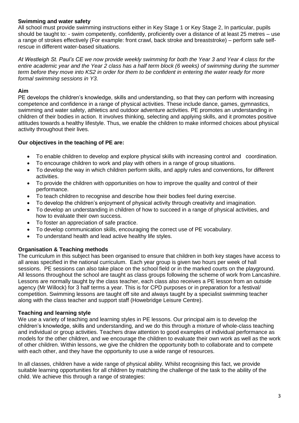### **Swimming and water safety**

All school must provide swimming instructions either in Key Stage 1 or Key Stage 2, In particular, pupils should be taught to: - swim competently, confidently, proficiently over a distance of at least 25 metres – use a range of strokes effectively (For example: front crawl, back stroke and breaststroke) – perform safe selfrescue in different water-based situations.

*At Westleigh St. Paul's CE we now provide weekly swimming for both the Year 3 and Year 4 class for the entire academic year and the Year 2 class has a half term block (6 weeks) of swimming during the summer term before they move into KS2 in order for them to be confident in entering the water ready for more formal swimming sessions in Y3.*

### **Aim**

PE develops the children's knowledge, skills and understanding, so that they can perform with increasing competence and confidence in a range of physical activities. These include dance, games, gymnastics, swimming and water safety, athletics and outdoor adventure activities. PE promotes an understanding in children of their bodies in action. It involves thinking, selecting and applying skills, and it promotes positive attitudes towards a healthy lifestyle. Thus, we enable the children to make informed choices about physical activity throughout their lives.

# **Our objectives in the teaching of PE are:**

- To enable children to develop and explore physical skills with increasing control and coordination.
- To encourage children to work and play with others in a range of group situations.
- To develop the way in which children perform skills, and apply rules and conventions, for different activities.
- To provide the children with opportunities on how to improve the quality and control of their performance.
- To teach children to recognise and describe how their bodies feel during exercise.
- To develop the children's enjoyment of physical activity through creativity and imagination.
- To develop an understanding in children of how to succeed in a range of physical activities, and how to evaluate their own success.
- To foster an appreciation of safe practice.
- To develop communication skills, encouraging the correct use of PE vocabulary.
- To understand health and lead active healthy life styles.

# **Organisation & Teaching methods**

The curriculum in this subject has been organised to ensure that children in both key stages have access to all areas specified in the national curriculum. Each year group is given two hours per week of hall sessions. PE sessions can also take place on the school field or in the marked courts on the playground. All lessons throughout the school are taught as class groups following the scheme of work from Lancashire. Lessons are normally taught by the class teacher, each class also receives a PE lesson from an outside agency (Mr Willock) for 3 half terms a year. This is for CPD purposes or in preparation for a festival/ competition. Swimming lessons are taught off site and always taught by a specialist swimming teacher along with the class teacher and support staff (Howebridge Leisure Centre).

#### **Teaching and learning style**

We use a variety of teaching and learning styles in PE lessons. Our principal aim is to develop the children's knowledge, skills and understanding, and we do this through a mixture of whole-class teaching and individual or group activities. Teachers draw attention to good examples of individual performance as models for the other children, and we encourage the children to evaluate their own work as well as the work of other children. Within lessons, we give the children the opportunity both to collaborate and to compete with each other, and they have the opportunity to use a wide range of resources.

In all classes, children have a wide range of physical ability. Whilst recognising this fact, we provide suitable learning opportunities for all children by matching the challenge of the task to the ability of the child. We achieve this through a range of strategies: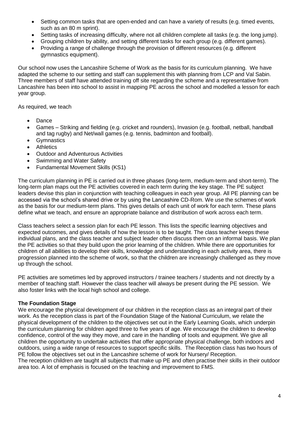- Setting common tasks that are open-ended and can have a variety of results (e.g. timed events, such as an 80 m sprint).
- Setting tasks of increasing difficulty, where not all children complete all tasks (e.g. the long jump).
- Grouping children by ability, and setting different tasks for each group (e.g. different games).
- Providing a range of challenge through the provision of different resources (e.g. different gymnastics equipment).

Our school now uses the Lancashire Scheme of Work as the basis for its curriculum planning. We have adapted the scheme to our setting and staff can supplement this with planning from LCP and Val Sabin. Three members of staff have attended training off site regarding the scheme and a representative from Lancashire has been into school to assist in mapping PE across the school and modelled a lesson for each year group.

As required, we teach

- Dance
- Games Striking and fielding (e.g. cricket and rounders), Invasion (e.g. football, netball, handball and tag rugby) and Net/wall games (e.g. tennis, badminton and football).
- Gymnastics
- **•** Athletics
- Outdoor and Adventurous Activities
- Swimming and Water Safety
- Fundamental Movement Skills (KS1)

The curriculum planning in PE is carried out in three phases (long-term, medium-term and short-term). The long-term plan maps out the PE activities covered in each term during the key stage. The PE subject leaders devise this plan in conjunction with teaching colleagues in each year group. All PE planning can be accessed via the school's shared drive or by using the Lancashire CD-Rom. We use the schemes of work as the basis for our medium-term plans. This gives details of each unit of work for each term. These plans define what we teach, and ensure an appropriate balance and distribution of work across each term.

Class teachers select a session plan for each PE lesson. This lists the specific learning objectives and expected outcomes, and gives details of how the lesson is to be taught. The class teacher keeps these individual plans, and the class teacher and subject leader often discuss them on an informal basis. We plan the PE activities so that they build upon the prior learning of the children. While there are opportunities for children of all abilities to develop their skills, knowledge and understanding in each activity area, there is progression planned into the scheme of work, so that the children are increasingly challenged as they move up through the school.

PE activities are sometimes led by approved instructors / trainee teachers / students and not directly by a member of teaching staff. However the class teacher will always be present during the PE session. We also foster links with the local high school and college.

#### **The Foundation Stage**

We encourage the physical development of our children in the reception class as an integral part of their work. As the reception class is part of the Foundation Stage of the National Curriculum, we relate the physical development of the children to the objectives set out in the Early Learning Goals, which underpin the curriculum planning for children aged three to five years of age. We encourage the children to develop confidence, control of the way they move, and care in the handling of tools and equipment. We give all children the opportunity to undertake activities that offer appropriate physical challenge, both indoors and outdoors, using a wide range of resources to support specific skills. The Reception class has two hours of PE follow the objectives set out in the Lancashire scheme of work for Nursery/ Reception.

The reception children are taught all subjects that make up PE and often practise their skills in their outdoor area too. A lot of emphasis is focused on the teaching and improvement to FMS.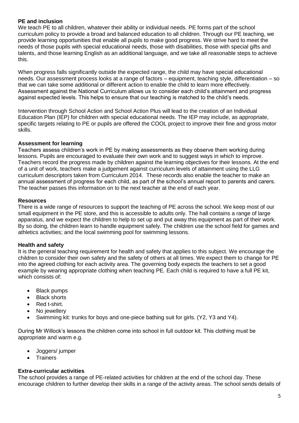# **PE and inclusion**

We teach PE to all children, whatever their ability or individual needs. PE forms part of the school curriculum policy to provide a broad and balanced education to all children. Through our PE teaching, we provide learning opportunities that enable all pupils to make good progress. We strive hard to meet the needs of those pupils with special educational needs, those with disabilities, those with special gifts and talents, and those learning English as an additional language, and we take all reasonable steps to achieve this.

When progress falls significantly outside the expected range, the child may have special educational needs. Our assessment process looks at a range of factors – equipment, teaching style, differentiation – so that we can take some additional or different action to enable the child to learn more effectively. Assessment against the National Curriculum allows us to consider each child's attainment and progress against expected levels. This helps to ensure that our teaching is matched to the child's needs.

Intervention through School Action and School Action Plus will lead to the creation of an Individual Education Plan (IEP) for children with special educational needs. The IEP may include, as appropriate, specific targets relating to PE or pupils are offered the COOL project to improve their fine and gross motor skills.

#### **Assessment for learning**

Teachers assess children's work in PE by making assessments as they observe them working during lessons. Pupils are encouraged to evaluate their own work and to suggest ways in which to improve. Teachers record the progress made by children against the learning objectives for their lessons. At the end of a unit of work, teachers make a judgement against curriculum levels of attainment using the LLG curriculum descriptors taken from Curriculum 2014. These records also enable the teacher to make an annual assessment of progress for each child, as part of the school's annual report to parents and carers. The teacher passes this information on to the next teacher at the end of each year.

### **Resources**

There is a wide range of resources to support the teaching of PE across the school. We keep most of our small equipment in the PE store, and this is accessible to adults only. The hall contains a range of large apparatus, and we expect the children to help to set up and put away this equipment as part of their work. By so doing, the children learn to handle equipment safely. The children use the school field for games and athletics activities; and the local swimming pool for swimming lessons.

# **Health and safety**

It is the general teaching requirement for health and safety that applies to this subject. We encourage the children to consider their own safety and the safety of others at all times. We expect them to change for PE into the agreed clothing for each activity area. The governing body expects the teachers to set a good example by wearing appropriate clothing when teaching PE. Each child is required to have a full PE kit, which consists of:

- Black pumps
- Black shorts
- Red t-shirt.
- No iewellery
- Swimming kit: trunks for boys and one-piece bathing suit for girls. (Y2, Y3 and Y4).

During Mr Willock's lessons the children come into school in full outdoor kit. This clothing must be appropriate and warm e.g.

- Joggers/ jumper
- Trainers

#### **Extra-curricular activities**

The school provides a range of PE-related activities for children at the end of the school day. These encourage children to further develop their skills in a range of the activity areas. The school sends details of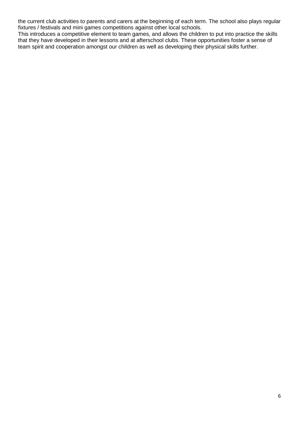the current club activities to parents and carers at the beginning of each term. The school also plays regular fixtures / festivals and mini games competitions against other local schools.

This introduces a competitive element to team games, and allows the children to put into practice the skills that they have developed in their lessons and at afterschool clubs. These opportunities foster a sense of team spirit and cooperation amongst our children as well as developing their physical skills further.